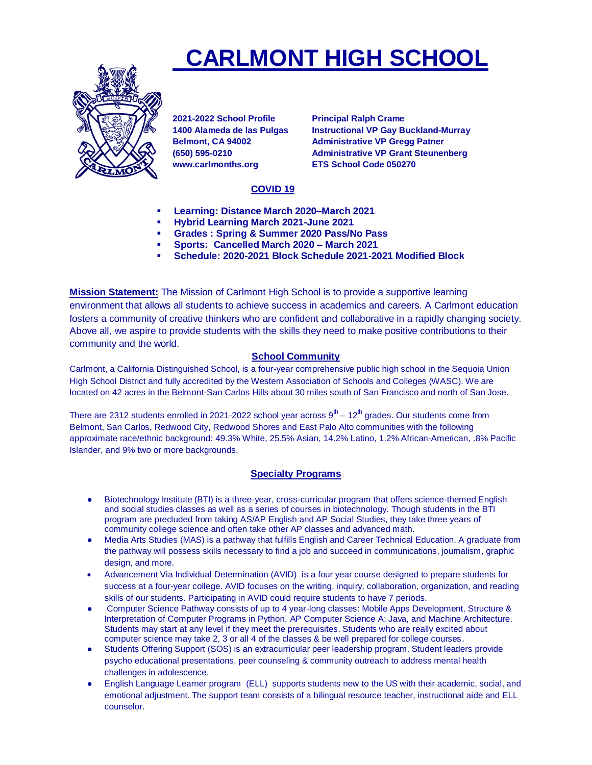# **CARLMONT HIGH SCHOOL**



**2021-2022 School Profile Principal Ralph Crame [www.carlmonths.org](http://www.carlmonths.org/) ETS School Code 050270**

**1400 Alameda de las Pulgas Instructional VP Gay Buckland-Murray Belmont, CA 94002 Administrative VP Gregg Patner (650) 595-0210 Administrative VP Grant Steunenberg**

# **COVID 19**

- **Learning: Distance March 2020–March 2021**
- **Hybrid Learning March 2021-June 2021**
- **Grades : Spring & Summer 2020 Pass/No Pass**
- **Sports: Cancelled March 2020 – March 2021**
- **Schedule: 2020-2021 Block Schedule 2021-2021 Modified Block**

**Mission Statement:** The Mission of Carlmont High School is to provide a supportive learning environment that allows all students to achieve success in academics and careers. A Carlmont education fosters a community of creative thinkers who are confident and collaborative in a rapidly changing society. Above all, we aspire to provide students with the skills they need to make positive contributions to their community and the world.

# **School Community**

Carlmont, a California Distinguished School, is a four-year comprehensive public high school in the Sequoia Union High School District and fully accredited by the Western Association of Schools and Colleges (WASC). We are located on 42 acres in the Belmont-San Carlos Hills about 30 miles south of San Francisco and north of San Jose.

There are 2312 students enrolled in 2021-2022 school year across  $9<sup>th</sup> - 12<sup>th</sup>$  grades. Our students come from Belmont, San Carlos, Redwood City, Redwood Shores and East Palo Alto communities with the following approximate race/ethnic background: 49.3% White, 25.5% Asian, 14.2% Latino, 1.2% African-American, .8% Pacific Islander, and 9% two or more backgrounds.

# **Specialty Programs**

- Biotechnology Institute (BTI) is a three-year, cross-curricular program that offers science-themed English and social studies classes as well as a series of courses in biotechnology. Though students in the BTI program are precluded from taking AS/AP English and AP Social Studies, they take three years of community college science and often take other AP classes and advanced math.
- Media Arts Studies (MAS) is a pathway that fulfills English and Career Technical Education. A graduate from the pathway will possess skills necessary to find a job and succeed in communications, journalism, graphic design, and more.
- Advancement Via Individual Determination (AVID) is a four year course designed to prepare students for success at a four-year college. AVID focuses on the writing, inquiry, collaboration, organization, and reading skills of our students. Participating in AVID could require students to have 7 periods.
- Computer Science Pathway consists of up to 4 year-long classes: Mobile Apps Development, Structure & Interpretation of Computer Programs in Python, AP Computer Science A: Java, and Machine Architecture. Students may start at any level if they meet the prerequisites. Students who are really excited about computer science may take 2, 3 or all 4 of the classes & be well prepared for college courses.
- Students Offering Support (SOS) is an extracurricular peer leadership program. Student leaders provide psycho educational presentations, peer counseling & community outreach to address mental health challenges in adolescence.
- English Language Learner program (ELL) supports students new to the US with their academic, social, and emotional adjustment. The support team consists of a bilingual resource teacher, instructional aide and ELL counselor.